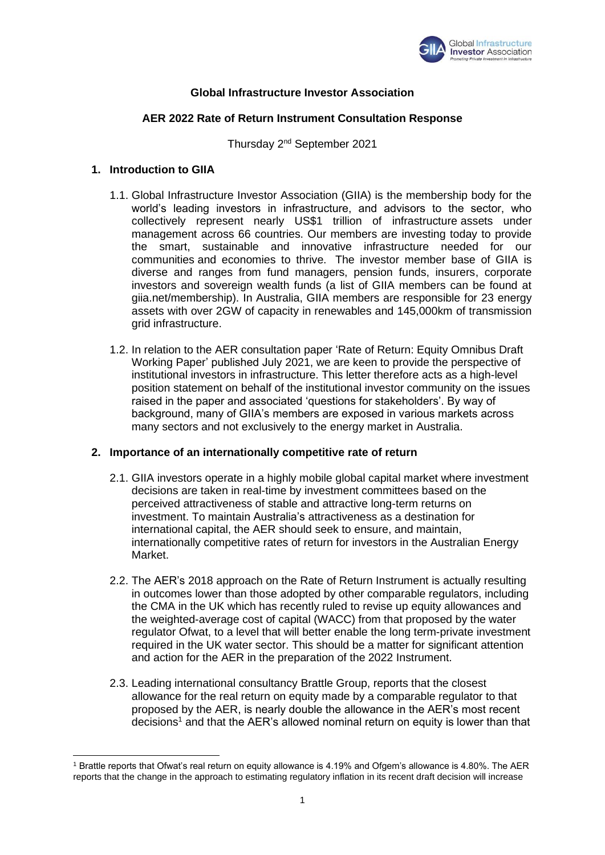

# **Global Infrastructure Investor Association**

# **AER 2022 Rate of Return Instrument Consultation Response**

Thursday 2nd September 2021

#### **1. Introduction to GIIA**

- 1.1. Global Infrastructure Investor Association (GIIA) is the membership body for the world's leading investors in infrastructure, and advisors to the sector, who collectively represent nearly US\$1 trillion of infrastructure assets under management across 66 countries. Our members are investing today to provide the smart, sustainable and innovative infrastructure needed for our communities and economies to thrive. The investor member base of GIIA is diverse and ranges from fund managers, pension funds, insurers, corporate investors and sovereign wealth funds (a list of GIIA members can be found at giia.net/membership). In Australia, GIIA members are responsible for 23 energy assets with over 2GW of capacity in renewables and 145,000km of transmission grid infrastructure.
- 1.2. In relation to the AER consultation paper 'Rate of Return: Equity Omnibus Draft Working Paper' published July 2021, we are keen to provide the perspective of institutional investors in infrastructure. This letter therefore acts as a high-level position statement on behalf of the institutional investor community on the issues raised in the paper and associated 'questions for stakeholders'. By way of background, many of GIIA's members are exposed in various markets across many sectors and not exclusively to the energy market in Australia.

#### **2. Importance of an internationally competitive rate of return**

- 2.1. GIIA investors operate in a highly mobile global capital market where investment decisions are taken in real-time by investment committees based on the perceived attractiveness of stable and attractive long-term returns on investment. To maintain Australia's attractiveness as a destination for international capital, the AER should seek to ensure, and maintain, internationally competitive rates of return for investors in the Australian Energy Market.
- 2.2. The AER's 2018 approach on the Rate of Return Instrument is actually resulting in outcomes lower than those adopted by other comparable regulators, including the CMA in the UK which has recently ruled to revise up equity allowances and the weighted-average cost of capital (WACC) from that proposed by the water regulator Ofwat, to a level that will better enable the long term-private investment required in the UK water sector. This should be a matter for significant attention and action for the AER in the preparation of the 2022 Instrument.
- 2.3. Leading international consultancy Brattle Group, reports that the closest allowance for the real return on equity made by a comparable regulator to that proposed by the AER, is nearly double the allowance in the AER's most recent decisions<sup>1</sup> and that the AER's allowed nominal return on equity is lower than that

<sup>1</sup> Brattle reports that Ofwat's real return on equity allowance is 4.19% and Ofgem's allowance is 4.80%. The AER reports that the change in the approach to estimating regulatory inflation in its recent draft decision will increase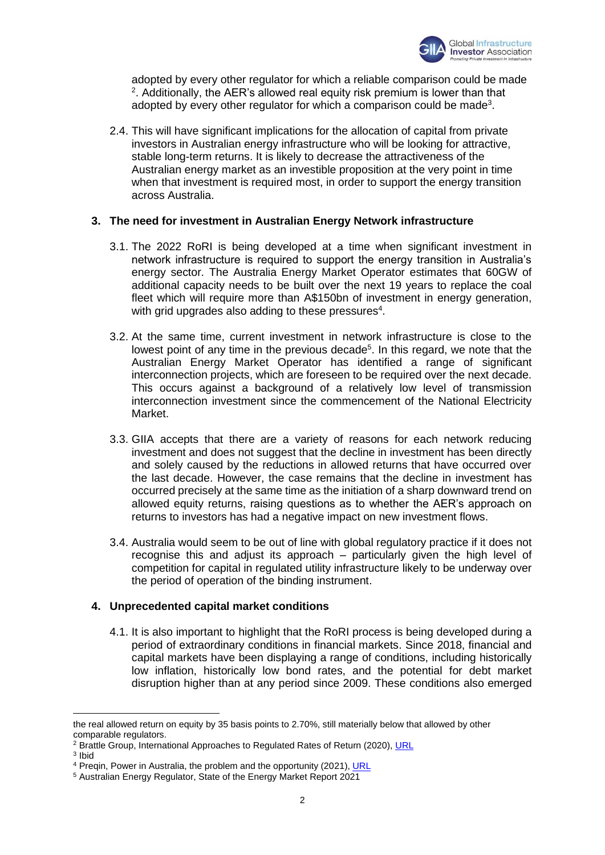

adopted by every other regulator for which a reliable comparison could be made <sup>2</sup>. Additionally, the AER's allowed real equity risk premium is lower than that adopted by every other regulator for which a comparison could be made<sup>3</sup>.

2.4. This will have significant implications for the allocation of capital from private investors in Australian energy infrastructure who will be looking for attractive, stable long-term returns. It is likely to decrease the attractiveness of the Australian energy market as an investible proposition at the very point in time when that investment is required most, in order to support the energy transition across Australia.

# **3. The need for investment in Australian Energy Network infrastructure**

- 3.1. The 2022 RoRI is being developed at a time when significant investment in network infrastructure is required to support the energy transition in Australia's energy sector. The Australia Energy Market Operator estimates that 60GW of additional capacity needs to be built over the next 19 years to replace the coal fleet which will require more than A\$150bn of investment in energy generation, with grid upgrades also adding to these pressures $4$ .
- 3.2. At the same time, current investment in network infrastructure is close to the lowest point of any time in the previous decade<sup>5</sup>. In this regard, we note that the Australian Energy Market Operator has identified a range of significant interconnection projects, which are foreseen to be required over the next decade. This occurs against a background of a relatively low level of transmission interconnection investment since the commencement of the National Electricity Market.
- 3.3. GIIA accepts that there are a variety of reasons for each network reducing investment and does not suggest that the decline in investment has been directly and solely caused by the reductions in allowed returns that have occurred over the last decade. However, the case remains that the decline in investment has occurred precisely at the same time as the initiation of a sharp downward trend on allowed equity returns, raising questions as to whether the AER's approach on returns to investors has had a negative impact on new investment flows.
- 3.4. Australia would seem to be out of line with global regulatory practice if it does not recognise this and adjust its approach – particularly given the high level of competition for capital in regulated utility infrastructure likely to be underway over the period of operation of the binding instrument.

# **4. Unprecedented capital market conditions**

4.1. It is also important to highlight that the RoRI process is being developed during a period of extraordinary conditions in financial markets. Since 2018, financial and capital markets have been displaying a range of conditions, including historically low inflation, historically low bond rates, and the potential for debt market disruption higher than at any period since 2009. These conditions also emerged

3 Ibid

the real allowed return on equity by 35 basis points to 2.70%, still materially below that allowed by other comparable regulators.

<sup>&</sup>lt;sup>2</sup> Brattle Group, International Approaches to Regulated Rates of Return (2020), [URL](https://www.brattle.com/news-and-knowledge/publications/a-review-of-international-approaches-to-regulated-rates-of-return)

<sup>&</sup>lt;sup>4</sup> Preqin, Power in Australia, the problem and the opportunity (2021), [URL](https://www.preqin.com/insights/research/blogs/power-struggle-in-australia-the-problem-and-the-opportunity)

<sup>5</sup> Australian Energy Regulator, State of the Energy Market Report 2021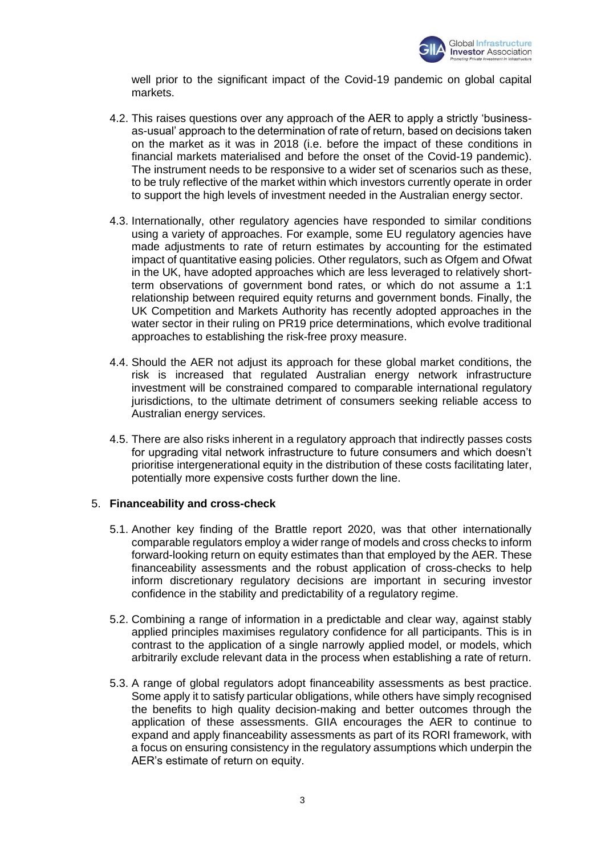

well prior to the significant impact of the Covid-19 pandemic on global capital markets.

- 4.2. This raises questions over any approach of the AER to apply a strictly 'businessas-usual' approach to the determination of rate of return, based on decisions taken on the market as it was in 2018 (i.e. before the impact of these conditions in financial markets materialised and before the onset of the Covid-19 pandemic). The instrument needs to be responsive to a wider set of scenarios such as these, to be truly reflective of the market within which investors currently operate in order to support the high levels of investment needed in the Australian energy sector.
- 4.3. Internationally, other regulatory agencies have responded to similar conditions using a variety of approaches. For example, some EU regulatory agencies have made adjustments to rate of return estimates by accounting for the estimated impact of quantitative easing policies. Other regulators, such as Ofgem and Ofwat in the UK, have adopted approaches which are less leveraged to relatively shortterm observations of government bond rates, or which do not assume a 1:1 relationship between required equity returns and government bonds. Finally, the UK Competition and Markets Authority has recently adopted approaches in the water sector in their ruling on PR19 price determinations, which evolve traditional approaches to establishing the risk-free proxy measure.
- 4.4. Should the AER not adjust its approach for these global market conditions, the risk is increased that regulated Australian energy network infrastructure investment will be constrained compared to comparable international regulatory jurisdictions, to the ultimate detriment of consumers seeking reliable access to Australian energy services.
- 4.5. There are also risks inherent in a regulatory approach that indirectly passes costs for upgrading vital network infrastructure to future consumers and which doesn't prioritise intergenerational equity in the distribution of these costs facilitating later, potentially more expensive costs further down the line.

# 5. **Financeability and cross-check**

- 5.1. Another key finding of the Brattle report 2020, was that other internationally comparable regulators employ a wider range of models and cross checks to inform forward-looking return on equity estimates than that employed by the AER. These financeability assessments and the robust application of cross-checks to help inform discretionary regulatory decisions are important in securing investor confidence in the stability and predictability of a regulatory regime.
- 5.2. Combining a range of information in a predictable and clear way, against stably applied principles maximises regulatory confidence for all participants. This is in contrast to the application of a single narrowly applied model, or models, which arbitrarily exclude relevant data in the process when establishing a rate of return.
- 5.3. A range of global regulators adopt financeability assessments as best practice. Some apply it to satisfy particular obligations, while others have simply recognised the benefits to high quality decision-making and better outcomes through the application of these assessments. GIIA encourages the AER to continue to expand and apply financeability assessments as part of its RORI framework, with a focus on ensuring consistency in the regulatory assumptions which underpin the AER's estimate of return on equity.